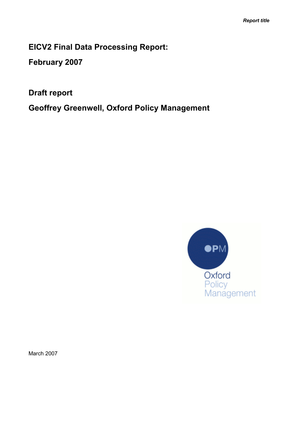EICV2 Final Data Processing Report:

February 2007

Draft report

Geoffrey Greenwell, Oxford Policy Management



March 2007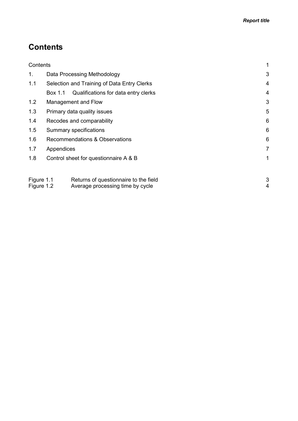# **Contents**

| Contents                 |            |                                                                           | 1      |
|--------------------------|------------|---------------------------------------------------------------------------|--------|
| 1.                       |            | Data Processing Methodology                                               | 3      |
| 1.1                      |            | Selection and Training of Data Entry Clerks                               | 4      |
|                          | Box 1.1    | Qualifications for data entry clerks                                      | 4      |
| 1.2                      |            | Management and Flow                                                       | 3      |
| 1.3                      |            | Primary data quality issues                                               | 5      |
| 1.4                      |            | Recodes and comparability                                                 | 6      |
| 1.5                      |            | Summary specifications                                                    | 6      |
| 1.6                      |            | Recommendations & Observations                                            | 6      |
| 1.7                      | Appendices |                                                                           | 7      |
| 1.8                      |            | Control sheet for questionnaire A & B                                     | 1      |
|                          |            |                                                                           |        |
| Figure 1.1<br>Figure 1.2 |            | Returns of questionnaire to the field<br>Average processing time by cycle | 3<br>4 |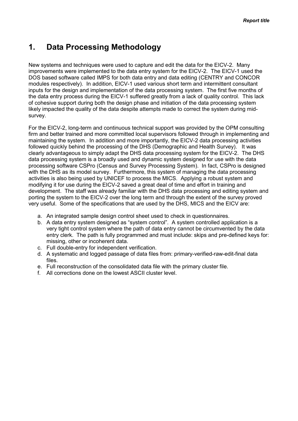## <span id="page-2-0"></span>1. Data Processing Methodology

New systems and techniques were used to capture and edit the data for the EICV-2. Many improvements were implemented to the data entry system for the EICV-2. The EICV-1 used the DOS based software called IMPS for both data entry and data editing (CENTRY and CONCOR modules respectively). In addition, EICV-1 used various short term and intermittent consultant inputs for the design and implementation of the data processing system. The first five months of the data entry process during the EICV-1 suffered greatly from a lack of quality control. This lack of cohesive support during both the design phase and initiation of the data processing system likely impacted the quality of the data despite attempts made to correct the system during midsurvey.

For the EICV-2, long-term and continuous technical support was provided by the OPM consulting firm and better trained and more committed local supervisors followed through in implementing and maintaining the system. In addition and more importantly, the EICV-2 data processing activities followed quickly behind the processing of the DHS (Demographic and Health Survey). It was clearly advantageous to simply adapt the DHS data processing system for the EICV-2. The DHS data processing system is a broadly used and dynamic system designed for use with the data processing software CSPro (Census and Survey Processing System). In fact, CSPro is designed with the DHS as its model survey. Furthermore, this system of managing the data processing activities is also being used by UNICEF to process the MICS. Applying a robust system and modifying it for use during the EICV-2 saved a great deal of time and effort in training and development. The staff was already familiar with the DHS data processing and editing system and porting the system to the EICV-2 over the long term and through the extent of the survey proved very useful. Some of the specifications that are used by the DHS, MICS and the EICV are:

- a. An integrated sample design control sheet used to check in questionnaires.
- b. A data entry system designed as "system control". A system controlled application is a very tight control system where the path of data entry cannot be circumvented by the data entry clerk. The path is fully programmed and must include: skips and pre-defined keys for: missing, other or incoherent data.
- c. Full double-entry for independent verification.
- d. A systematic and logged passage of data files from: primary-verified-raw-edit-final data files.
- e. Full reconstruction of the consolidated data file with the primary cluster file.
- f. All corrections done on the lowest ASCII cluster level.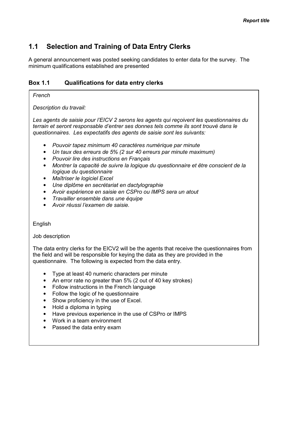### <span id="page-3-0"></span>1.1 Selection and Training of Data Entry Clerks

A general announcement was posted seeking candidates to enter data for the survey. The minimum qualifications established are presented

#### Box 1.1 Qualifications for data entry clerks

#### French

Description du travail:

Les agents de saisie pour l'EICV 2 serons les agents qui reçoivent les questionnaires du terrain et seront responsable d'entrer ses donnes tels comme ils sont trouvé dans le questionnaires. Les expectatifs des agents de saisie sont les suivants:

- Pouvoir tapez minimum 40 caractères numérique par minute
- Un taux des erreurs de 5% (2 sur 40 erreurs par minute maximum)
- Pouvoir lire des instructions en Français
- Montrer la capacité de suivre la logique du questionnaire et être conscient de la logique du questionnaire
- Maîtriser le logiciel Excel
- Une diplôme en secrétariat en dactylographie
- Avoir expérience en saisie en CSPro ou IMPS sera un atout
- Travailler ensemble dans une équipe
- Avoir réussi l'examen de saisie.

English

#### Job description

The data entry clerks for the EICV2 will be the agents that receive the questionnaires from the field and will be responsible for keying the data as they are provided in the questionnaire. The following is expected from the data entry.

- Type at least 40 numeric characters per minute
- An error rate no greater than 5% (2 out of 40 key strokes)
- Follow instructions in the French language
- Follow the logic of he questionnaire
- Show proficiency in the use of Excel.
- Hold a diploma in typing
- Have previous experience in the use of CSPro or IMPS
- Work in a team environment
- Passed the data entry exam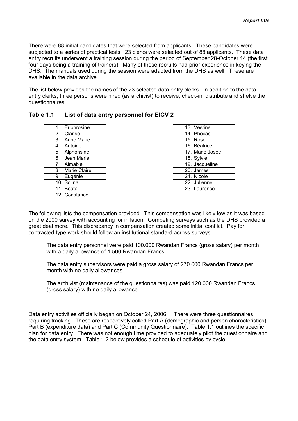There were 88 initial candidates that were selected from applicants. These candidates were subjected to a series of practical tests. 23 clerks were selected out of 88 applicants. These data entry recruits underwent a training session during the period of September 28-October 14 (the first four days being a training of trainers). Many of these recruits had prior experience in keying the DHS. The manuals used during the session were adapted from the DHS as well. These are available in the data archive.

The list below provides the names of the 23 selected data entry clerks. In addition to the data entry clerks, three persons were hired (as archivist) to receive, check-in, distribute and shelve the questionnaires.

| Table 1.1 List of data entry personnel for EICV 2 |
|---------------------------------------------------|
|                                                   |

| 1.               |    | Euphrosine    |
|------------------|----|---------------|
| 2.               |    | Clarise       |
| 3.               |    | Anne Marie    |
| 4.               |    | Antoine       |
| $\overline{5}$ . |    | Alphonsine    |
| 6.               |    | Jean Marie    |
| 7.               |    | Aimable       |
|                  | 8. | Marie Claire  |
|                  | 9. | Eugénie       |
|                  |    | 10. Solina    |
|                  |    | 11. Béata     |
|                  |    | 12. Constance |

| 13. Vestine     |
|-----------------|
| 14. Phocas      |
| 15. Rose        |
| 16. Béatrice    |
| 17. Marie Josée |
| 18. Sylvie      |
| 19. Jacqueline  |
| 20. James       |
| 21. Nicole      |
| 22. Julienne    |
| 23. Laurence    |

The following lists the compensation provided. This compensation was likely low as it was based on the 2000 survey with accounting for inflation. Competing surveys such as the DHS provided a great deal more. This discrepancy in compensation created some initial conflict. Pay for contracted type work should follow an institutional standard across surveys.

 The data entry personnel were paid 100.000 Rwandan Francs (gross salary) per month with a daily allowance of 1.500 Rwandan Francs.

 The data entry supervisors were paid a gross salary of 270.000 Rwandan Francs per month with no daily allowances.

 The archivist (maintenance of the questionnaires) was paid 120.000 Rwandan Francs (gross salary) with no daily allowance.

Data entry activities officially began on October 24, 2006. There were three questionnaires requiring tracking. These are respectively called Part A (demographic and person characteristics), Part B (expenditure data) and Part C (Community Questionnaire). Table 1.1 outlines the specific plan for data entry. There was not enough time provided to adequately pilot the questionnaire and the data entry system. Table 1.2 below provides a schedule of activities by cycle.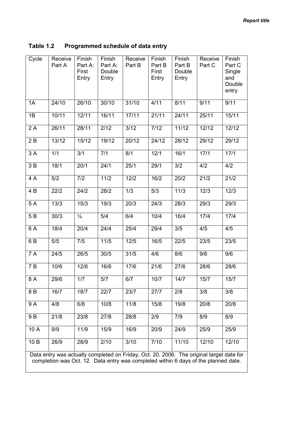| Table 1.2 | Programmed schedule of data entry |
|-----------|-----------------------------------|
|-----------|-----------------------------------|

| Cycle | Receive<br>Part A                                                                                                                                                               | Finish<br>Part A:<br>First<br>Entry | Finish<br>Part A:<br>Double<br>Entry | Receive<br>Part B | Finish<br>Part B<br>First<br>Entry | Finish<br>Part B<br>Double<br>Entry | Receive<br>Part C | Finish<br>Part C<br>Single<br>and<br>Double<br>entry |  |  |
|-------|---------------------------------------------------------------------------------------------------------------------------------------------------------------------------------|-------------------------------------|--------------------------------------|-------------------|------------------------------------|-------------------------------------|-------------------|------------------------------------------------------|--|--|
| 1A    | 24/10                                                                                                                                                                           | 26/10                               | 30/10                                | 31/10             | 4/11                               | 8/11                                | 9/11              | 9/11                                                 |  |  |
| 1B    | 10/11                                                                                                                                                                           | 12/11                               | 16/11                                | 17/11             | 21/11                              | 24/11                               | 25/11             | 15/11                                                |  |  |
| 2A    | 26/11                                                                                                                                                                           | 28/11                               | 2/12                                 | 3/12              | 7/12                               | 11/12                               | 12/12             | 12/12                                                |  |  |
| 2B    | 13/12                                                                                                                                                                           | 15/12                               | 19/12                                | 20/12             | 24/12                              | 28/12                               | 29/12             | 29/12                                                |  |  |
| 3A    | 1/1                                                                                                                                                                             | 3/1                                 | 7/1                                  | 8/1               | 12/1                               | 16/1                                | 17/1              | 17/1                                                 |  |  |
| 3B    | 18/1                                                                                                                                                                            | 20/1                                | 24/1                                 | 25/1              | 29/1                               | 3/2                                 | 4/2               | 4/2                                                  |  |  |
| 4 A   | 5/2                                                                                                                                                                             | 7/2                                 | $11/2$                               | 12/2              | 16/2                               | 20/2                                | 21/2              | 21/2                                                 |  |  |
| 4 B   | 22/2                                                                                                                                                                            | 24/2                                | 28/2                                 | 1/3               | 5/3                                | 11/3                                | 12/3              | 12/3                                                 |  |  |
| 5A    | 13/3                                                                                                                                                                            | 15/3                                | 19/3                                 | 20/3              | 24/3                               | 28/3                                | 29/3              | 29/3                                                 |  |  |
| 5 B   | 30/3                                                                                                                                                                            | $\frac{1}{4}$                       | 5/4                                  | 6/4               | 10/4                               | 16/4                                | 17/4              | 17/4                                                 |  |  |
| 6 A   | 18/4                                                                                                                                                                            | 20/4                                | 24/4                                 | 25/4              | 29/4                               | 3/5                                 | 4/5               | 4/5                                                  |  |  |
| 6 B   | 5/5                                                                                                                                                                             | 7/5                                 | $11/5$                               | $12/5$            | 16/5                               | 22/5                                | 23/5              | 23/5                                                 |  |  |
| 7 A   | 24/5                                                                                                                                                                            | 26/5                                | 30/5                                 | 31/5              | 4/6                                | 8/6                                 | 9/6               | 9/6                                                  |  |  |
| 7B    | 10/6                                                                                                                                                                            | 12/6                                | 16/6                                 | 17/6              | 21/6                               | 27/6                                | 28/6              | 28/6                                                 |  |  |
| 8A    | 29/6                                                                                                                                                                            | 1/7                                 | 5/7                                  | 6/7               | 10/7                               | $14/7$                              | 15/7              | 15/7                                                 |  |  |
| 8 B   | 16/7                                                                                                                                                                            | 18/7                                | 22/7                                 | 23/7              | 27/7                               | 2/8                                 | 3/8               | 3/8                                                  |  |  |
| 9 A   | 4/8                                                                                                                                                                             | 6/8                                 | 10/8                                 | 11/8              | 15/8                               | 19/8                                | 20/8              | 20/8                                                 |  |  |
| 9 B   | 21/8                                                                                                                                                                            | 23/8                                | 27/8                                 | 28/8              | 2/9                                | 7/9                                 | 8/9               | 8/9                                                  |  |  |
| 10 A  | 9/9                                                                                                                                                                             | 11/9                                | 15/9                                 | 16/9              | 20/9                               | 24/9                                | 25/9              | 25/9                                                 |  |  |
| 10 B  | 26/9                                                                                                                                                                            | 28/9                                | 2/10                                 | 3/10              | 7/10                               | 11/10                               | 12/10             | 12/10                                                |  |  |
|       | Data entry was actually completed on Friday, Oct. 20, 2006. The original target date for<br>completion was Oct. 12. Data entry was completed within 6 days of the planned date. |                                     |                                      |                   |                                    |                                     |                   |                                                      |  |  |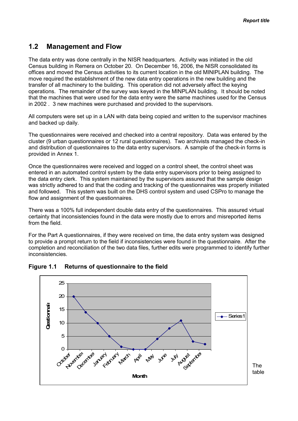### <span id="page-6-0"></span>1.2 Management and Flow

The data entry was done centrally in the NISR headquarters. Activity was initiated in the old Census building in Remera on October 20. On December 16, 2006, the NISR consolidated its offices and moved the Census activities to its current location in the old MINIPLAN building. The move required the establishment of the new data entry operations in the new building and the transfer of all machinery to the building. This operation did not adversely affect the keying operations. The remainder of the survey was keyed in the MINPLAN building. It should be noted that the machines that were used for the data entry were the same machines used for the Census in 2002 . 3 new machines were purchased and provided to the supervisors.

All computers were set up in a LAN with data being copied and written to the supervisor machines and backed up daily.

The questionnaires were received and checked into a central repository. Data was entered by the cluster (9 urban questionnaires or 12 rural questionnaires). Two archivists managed the check-in and distribution of questionnaires to the data entry supervisors. A sample of the check-in forms is provided in Annex 1.

Once the questionnaires were received and logged on a control sheet, the control sheet was entered in an automated control system by the data entry supervisors prior to being assigned to the data entry clerk. This system maintained by the supervisors assured that the sample design was strictly adhered to and that the coding and tracking of the questionnaires was properly initiated and followed. This system was built on the DHS control system and used CSPro to manage the flow and assignment of the questionnaires.

There was a 100% full independent double data entry of the questionnaires. This assured virtual certainty that inconsistencies found in the data were mostly due to errors and misreported items from the field.

For the Part A questionnaires, if they were received on time, the data entry system was designed to provide a prompt return to the field if inconsistencies were found in the questionnaire. After the completion and reconciliation of the two data files, further edits were programmed to identify further inconsistencies.



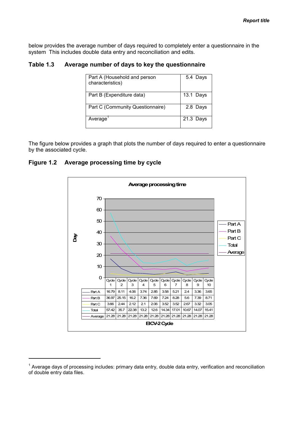below provides the average number of days required to completely enter a questionnaire in the system This includes double data entry and reconciliation and edits.

#### Table 1.3 Average number of days to key the questionnaire

| Part A (Household and person<br>characteristics) | 5.4 Days  |
|--------------------------------------------------|-----------|
| Part B (Expenditure data)                        | 13.1 Days |
| Part C (Community Questionnaire)                 | 2.8 Days  |
| Average <sup>'</sup>                             | 21.3 Days |

The figure below provides a graph that plots the number of days required to enter a questionnaire by the associated cycle.

#### Figure 1.2 Average processing time by cycle

-



<sup>&</sup>lt;sup>1</sup> Average days of processing includes: primary data entry, double data entry, verification and reconciliation of double entry data files.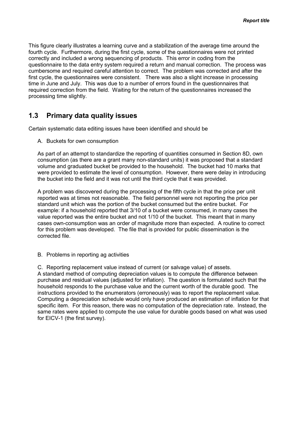<span id="page-8-0"></span>This figure clearly illustrates a learning curve and a stabilization of the average time around the fourth cycle. Furthermore, during the first cycle, some of the questionnaires were not printed correctly and included a wrong sequencing of products. This error in coding from the questionnaire to the data entry system required a return and manual correction. The process was cumbersome and required careful attention to correct. The problem was corrected and after the first cycle, the questionnaires were consistent. There was also a slight increase in processing time in June and July. This was due to a number of errors found in the questionnaires that required correction from the field. Waiting for the return of the questionnaires increased the processing time slightly.

### 1.3 Primary data quality issues

Certain systematic data editing issues have been identified and should be

A. Buckets for own consumption

As part of an attempt to standardize the reporting of quantities consumed in Section 8D, own consumption (as there are a grant many non-standard units) it was proposed that a standard volume and graduated bucket be provided to the household. The bucket had 10 marks that were provided to estimate the level of consumption. However, there were delay in introducing the bucket into the field and it was not until the third cycle that it was provided.

A problem was discovered during the processing of the fifth cycle in that the price per unit reported was at times not reasonable. The field personnel were not reporting the price per standard unit which was the portion of the bucket consumed but the entire bucket. For example: if a household reported that 3/10 of a bucket were consumed, in many cases the value reported was the entire bucket and not 1/10 of the bucket. This meant that in many cases own-consumption was an order of magnitude more than expected. A routine to correct for this problem was developed. The file that is provided for public dissemination is the corrected file.

B. Problems in reporting ag activities

C. Reporting replacement value instead of current (or salvage value) of assets. A standard method of computing depreciation values is to compute the difference between purchase and residual values (adjusted for inflation). The question is formulated such that the household responds to the purchase value and the current worth of the durable good. The instructions provided to the enumerators (erroneously) was to report the replacement value. Computing a depreciation schedule would only have produced an estimation of inflation for that specific item. For this reason, there was no computation of the depreciation rate. Instead, the same rates were applied to compute the use value for durable goods based on what was used for EICV-1 (the first survey).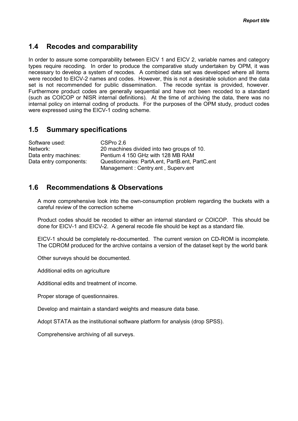### <span id="page-9-0"></span>1.4 Recodes and comparability

In order to assure some comparability between EICV 1 and EICV 2, variable names and category types require recoding. In order to produce the comparative study undertaken by OPM, it was necessary to develop a system of recodes. A combined data set was developed where all items were recoded to EICV-2 names and codes. However, this is not a desirable solution and the data set is not recommended for public dissemination. The recode syntax is provided, however. Furthermore product codes are generally sequential and have not been recoded to a standard (such as COICOP or NISR internal definitions). At the time of archiving the data, there was no internal policy on internal coding of products. For the purposes of the OPM study, product codes were expressed using the EICV-1 coding scheme.

### 1.5 Summary specifications

| Software used:         | CSPro 2.6                                       |
|------------------------|-------------------------------------------------|
| Network:               | 20 machines divided into two groups of 10.      |
| Data entry machines:   | Pentium 4 150 GHz with 128 MB RAM               |
| Data entry components: | Questionnaires: PartA.ent, PartB.ent, PartC.ent |
|                        | Management: Centry.ent, Superv.ent              |

### 1.6 Recommendations & Observations

 A more comprehensive look into the own-consumption problem regarding the buckets with a careful review of the correction scheme

 Product codes should be recoded to either an internal standard or COICOP. This should be done for EICV-1 and EICV-2. A general recode file should be kept as a standard file.

 EICV-1 should be completely re-documented. The current version on CD-ROM is incomplete. The CDROM produced for the archive contains a version of the dataset kept by the world bank

Other surveys should be documented.

Additional edits on agriculture

Additional edits and treatment of income.

Proper storage of questionnaires.

Develop and maintain a standard weights and measure data base.

Adopt STATA as the institutional software platform for analysis (drop SPSS).

Comprehensive archiving of all surveys.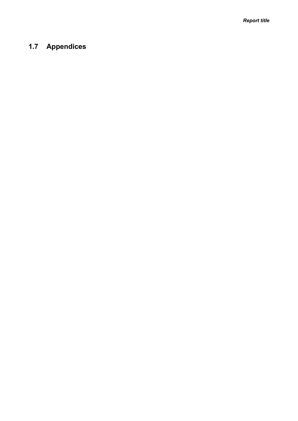Report title

## <span id="page-10-0"></span>1.7 Appendices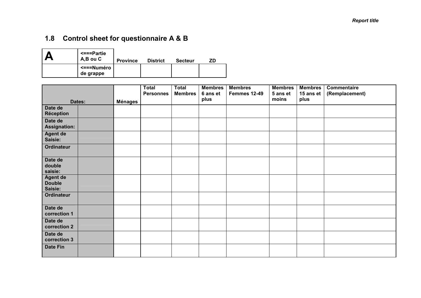## <span id="page-11-0"></span>1.8 Control sheet for questionnaire A & B

| $\le$ ===Partie<br>A,B ou C | <b>Province</b> | <b>District</b> | <b>Secteur</b> | ZD |
|-----------------------------|-----------------|-----------------|----------------|----|
| <===Numéro<br>de grappe     |                 |                 |                |    |

|                                             |  |         | <b>Total</b><br><b>Personnes</b> | <b>Total</b><br><b>Membres</b> | <b>Membres</b><br>6 ans et | <b>Membres</b><br>Femmes 12-49 | <b>Membres</b><br>5 ans et | <b>Membres</b><br>15 ans et | Commentaire<br>(Remplacement) |
|---------------------------------------------|--|---------|----------------------------------|--------------------------------|----------------------------|--------------------------------|----------------------------|-----------------------------|-------------------------------|
| Dates:                                      |  | Ménages |                                  |                                | plus                       |                                | moins                      | plus                        |                               |
| Date de<br><b>Réception</b>                 |  |         |                                  |                                |                            |                                |                            |                             |                               |
| Date de<br><b>Assignation:</b>              |  |         |                                  |                                |                            |                                |                            |                             |                               |
| <b>Agent de</b><br>Saisie:                  |  |         |                                  |                                |                            |                                |                            |                             |                               |
| <b>Ordinateur</b>                           |  |         |                                  |                                |                            |                                |                            |                             |                               |
| Date de<br>double<br>saisie:                |  |         |                                  |                                |                            |                                |                            |                             |                               |
| <b>Agent de</b><br><b>Double</b><br>Saisie: |  |         |                                  |                                |                            |                                |                            |                             |                               |
| <b>Ordinateur</b>                           |  |         |                                  |                                |                            |                                |                            |                             |                               |
| Date de<br>correction 1                     |  |         |                                  |                                |                            |                                |                            |                             |                               |
| Date de<br>correction 2                     |  |         |                                  |                                |                            |                                |                            |                             |                               |
| Date de<br>correction 3                     |  |         |                                  |                                |                            |                                |                            |                             |                               |
| <b>Date Fin</b>                             |  |         |                                  |                                |                            |                                |                            |                             |                               |

٦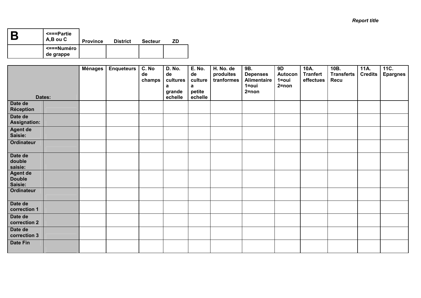| D | <===Partie<br>A,B ou C  | <b>Province</b> | <b>District</b> | <b>Secteur</b> | ΖD |
|---|-------------------------|-----------------|-----------------|----------------|----|
|   | <===Numéro<br>de grappe |                 |                 |                |    |

|                                             |  | <b>Ménages</b> | <b>Enqueteurs</b> | C. No<br>de<br>champs | <b>D. No.</b><br>de<br>cultures<br>a<br>grande | <b>E. No.</b><br>de<br>culture<br>a<br>petite | H. No. de<br>produites<br>tranformes | 9B.<br><b>Depenses</b><br><b>Alimentaire</b><br>$1 = 0$ ui<br>$2 = non$ | 9D<br>Autocon<br>1=oui<br>$2 = non$ | 10A.<br><b>Tranfert</b><br>effectues | 10B.<br><b>Transferts</b><br>Recu | 11A.<br><b>Credits</b> | 11C.<br><b>Epargnes</b> |
|---------------------------------------------|--|----------------|-------------------|-----------------------|------------------------------------------------|-----------------------------------------------|--------------------------------------|-------------------------------------------------------------------------|-------------------------------------|--------------------------------------|-----------------------------------|------------------------|-------------------------|
| Dates:                                      |  |                |                   |                       | echelle                                        | echelle                                       |                                      |                                                                         |                                     |                                      |                                   |                        |                         |
| Date de<br><b>Réception</b>                 |  |                |                   |                       |                                                |                                               |                                      |                                                                         |                                     |                                      |                                   |                        |                         |
| Date de<br><b>Assignation:</b>              |  |                |                   |                       |                                                |                                               |                                      |                                                                         |                                     |                                      |                                   |                        |                         |
| <b>Agent de</b><br>Saisie:                  |  |                |                   |                       |                                                |                                               |                                      |                                                                         |                                     |                                      |                                   |                        |                         |
| <b>Ordinateur</b>                           |  |                |                   |                       |                                                |                                               |                                      |                                                                         |                                     |                                      |                                   |                        |                         |
| Date de<br>double<br>saisie:                |  |                |                   |                       |                                                |                                               |                                      |                                                                         |                                     |                                      |                                   |                        |                         |
| <b>Agent de</b><br><b>Double</b><br>Saisie: |  |                |                   |                       |                                                |                                               |                                      |                                                                         |                                     |                                      |                                   |                        |                         |
| Ordinateur                                  |  |                |                   |                       |                                                |                                               |                                      |                                                                         |                                     |                                      |                                   |                        |                         |
| Date de<br>correction 1                     |  |                |                   |                       |                                                |                                               |                                      |                                                                         |                                     |                                      |                                   |                        |                         |
| Date de<br>correction 2                     |  |                |                   |                       |                                                |                                               |                                      |                                                                         |                                     |                                      |                                   |                        |                         |
| Date de<br>correction 3                     |  |                |                   |                       |                                                |                                               |                                      |                                                                         |                                     |                                      |                                   |                        |                         |
| <b>Date Fin</b>                             |  |                |                   |                       |                                                |                                               |                                      |                                                                         |                                     |                                      |                                   |                        |                         |